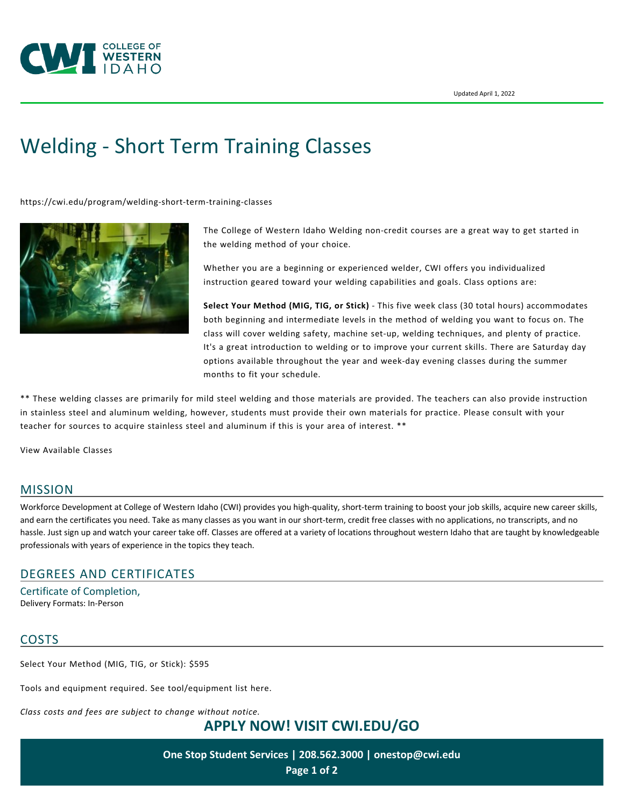

# [Welding - Short Term Training Classes](https://cwi.edu/program/welding-short-term-training-classes)

<https://cwi.edu/program/welding-short-term-training-classes>



The College of Western Idaho Welding non-credit courses are a great way to get started in the welding method of your choice.

Whether you are a beginning or experienced welder, CWI offers you individualized instruction geared toward your welding capabilities and goals. Class options are:

**Select Your Method (MIG, TIG, or Stick)** - This five week class (30 total hours) accommodates both beginning and intermediate levels in the method of welding you want to focus on. The class will cover welding safety, machine set-up, welding techniques, and plenty of practice. It's a great introduction to welding or to improve your current skills. There are Saturday day options available throughout the year and week-day evening classes during the summer months to fit your schedule.

\*\* These welding classes are primarily for mild steel welding and those materials are provided. The teachers can also provide instruction in stainless steel and aluminum welding, however, students must provide their own materials for practice. Please consult with your teacher for sources to acquire stainless steel and aluminum if this is your area of interest. \*\*

[View Available Classes](https://cwi.augusoft.net/index.cfm?method=ClassListing.ClassListingDisplay&int_category_id=2&int_sub_category_id=6&int_catalog_id)

#### MISSION

Workforce Development at College of Western Idaho (CWI) provides you high-quality, short-term training to boost your job skills, acquire new career skills, and earn the certificates you need. Take as many classes as you want in our short-term, credit free classes with no applications, no transcripts, and no hassle. Just sign up and watch your career take off. Classes are offered at a variety of locations throughout western Idaho that are taught by knowledgeable professionals with years of experience in the topics they teach.

# DEGREES AND CERTIFICATES

Certificate of Completion, Delivery Formats: In-Person

# **COSTS**

Select Your Method (MIG, TIG, or Stick): \$595

Tools and equipment required. [See tool/equipment list here](https://cwi.edu/file/wd-welding-tool-list).

*Class costs and fees are subject to change without notice.*

**APPLY NOW! VISIT [CWI.EDU/GO](http://cwi.edu/go)**

**One Stop Student Services | 208.562.3000 | [onestop@cwi.edu](mailto:onestop@cwi.edu) Page 1 of 2**